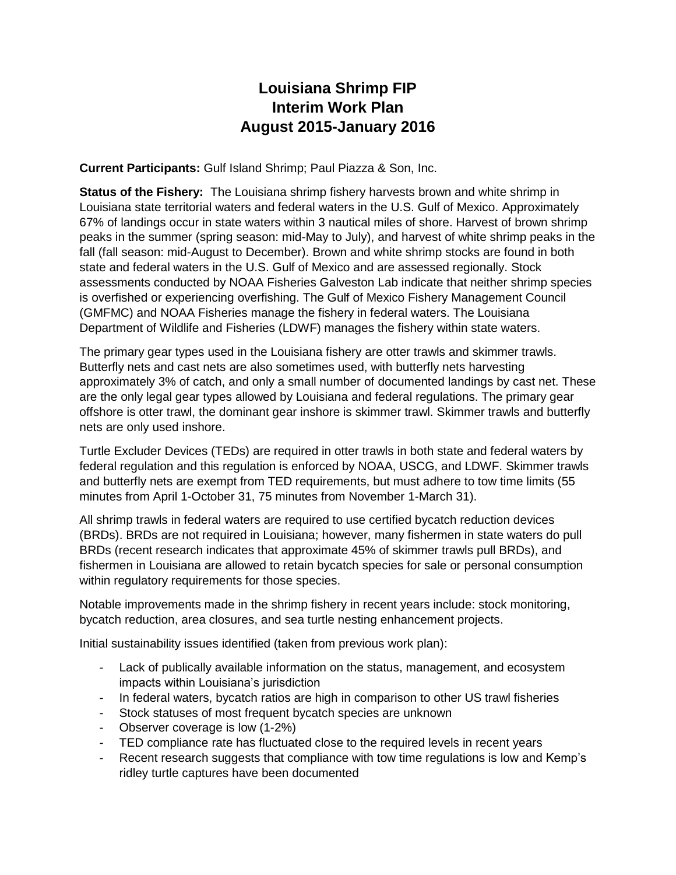# **Louisiana Shrimp FIP Interim Work Plan August 2015-January 2016**

**Current Participants:** Gulf Island Shrimp; Paul Piazza & Son, Inc.

**Status of the Fishery:** The Louisiana shrimp fishery harvests brown and white shrimp in Louisiana state territorial waters and federal waters in the U.S. Gulf of Mexico. Approximately 67% of landings occur in state waters within 3 nautical miles of shore. Harvest of brown shrimp peaks in the summer (spring season: mid-May to July), and harvest of white shrimp peaks in the fall (fall season: mid-August to December). Brown and white shrimp stocks are found in both state and federal waters in the U.S. Gulf of Mexico and are assessed regionally. Stock assessments conducted by NOAA Fisheries Galveston Lab indicate that neither shrimp species is overfished or experiencing overfishing. The Gulf of Mexico Fishery Management Council (GMFMC) and NOAA Fisheries manage the fishery in federal waters. The Louisiana Department of Wildlife and Fisheries (LDWF) manages the fishery within state waters.

The primary gear types used in the Louisiana fishery are otter trawls and skimmer trawls. Butterfly nets and cast nets are also sometimes used, with butterfly nets harvesting approximately 3% of catch, and only a small number of documented landings by cast net. These are the only legal gear types allowed by Louisiana and federal regulations. The primary gear offshore is otter trawl, the dominant gear inshore is skimmer trawl. Skimmer trawls and butterfly nets are only used inshore.

Turtle Excluder Devices (TEDs) are required in otter trawls in both state and federal waters by federal regulation and this regulation is enforced by NOAA, USCG, and LDWF. Skimmer trawls and butterfly nets are exempt from TED requirements, but must adhere to tow time limits (55 minutes from April 1-October 31, 75 minutes from November 1-March 31).

All shrimp trawls in federal waters are required to use certified bycatch reduction devices (BRDs). BRDs are not required in Louisiana; however, many fishermen in state waters do pull BRDs (recent research indicates that approximate 45% of skimmer trawls pull BRDs), and fishermen in Louisiana are allowed to retain bycatch species for sale or personal consumption within regulatory requirements for those species.

Notable improvements made in the shrimp fishery in recent years include: stock monitoring, bycatch reduction, area closures, and sea turtle nesting enhancement projects.

Initial sustainability issues identified (taken from previous work plan):

- Lack of publically available information on the status, management, and ecosystem impacts within Louisiana's jurisdiction
- In federal waters, bycatch ratios are high in comparison to other US trawl fisheries
- Stock statuses of most frequent bycatch species are unknown
- Observer coverage is low (1-2%)
- TED compliance rate has fluctuated close to the required levels in recent years
- Recent research suggests that compliance with tow time regulations is low and Kemp's ridley turtle captures have been documented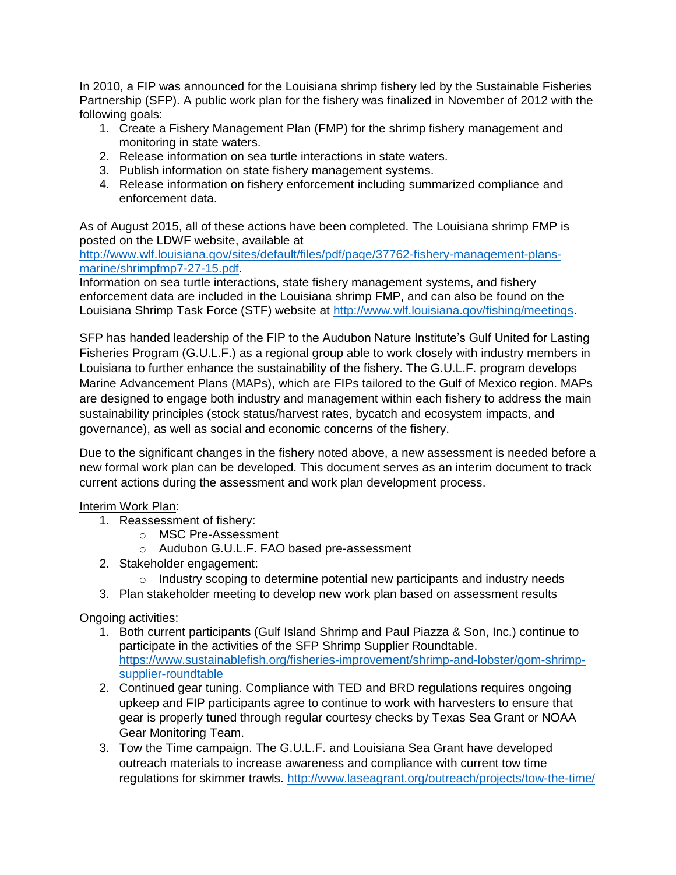In 2010, a FIP was announced for the Louisiana shrimp fishery led by the Sustainable Fisheries Partnership (SFP). A public work plan for the fishery was finalized in November of 2012 with the following goals:

- 1. Create a Fishery Management Plan (FMP) for the shrimp fishery management and monitoring in state waters.
- 2. Release information on sea turtle interactions in state waters.
- 3. Publish information on state fishery management systems.
- 4. Release information on fishery enforcement including summarized compliance and enforcement data.

As of August 2015, all of these actions have been completed. The Louisiana shrimp FMP is posted on the LDWF website, available at

[http://www.wlf.louisiana.gov/sites/default/files/pdf/page/37762-fishery-management-plans](http://www.wlf.louisiana.gov/sites/default/files/pdf/page/37762-fishery-management-plans-marine/shrimpfmp7-27-15.pdf)[marine/shrimpfmp7-27-15.pdf.](http://www.wlf.louisiana.gov/sites/default/files/pdf/page/37762-fishery-management-plans-marine/shrimpfmp7-27-15.pdf)

Information on sea turtle interactions, state fishery management systems, and fishery enforcement data are included in the Louisiana shrimp FMP, and can also be found on the Louisiana Shrimp Task Force (STF) website at [http://www.wlf.louisiana.gov/fishing/meetings.](http://www.wlf.louisiana.gov/fishing/meetings)

SFP has handed leadership of the FIP to the Audubon Nature Institute's Gulf United for Lasting Fisheries Program (G.U.L.F.) as a regional group able to work closely with industry members in Louisiana to further enhance the sustainability of the fishery. The G.U.L.F. program develops Marine Advancement Plans (MAPs), which are FIPs tailored to the Gulf of Mexico region. MAPs are designed to engage both industry and management within each fishery to address the main sustainability principles (stock status/harvest rates, bycatch and ecosystem impacts, and governance), as well as social and economic concerns of the fishery.

Due to the significant changes in the fishery noted above, a new assessment is needed before a new formal work plan can be developed. This document serves as an interim document to track current actions during the assessment and work plan development process.

#### Interim Work Plan:

- 1. Reassessment of fishery:
	- o MSC Pre-Assessment
	- o Audubon G.U.L.F. FAO based pre-assessment
- 2. Stakeholder engagement:
	- $\circ$  Industry scoping to determine potential new participants and industry needs
- 3. Plan stakeholder meeting to develop new work plan based on assessment results

Ongoing activities:

- 1. Both current participants (Gulf Island Shrimp and Paul Piazza & Son, Inc.) continue to participate in the activities of the SFP Shrimp Supplier Roundtable. [https://www.sustainablefish.org/fisheries-improvement/shrimp-and-lobster/gom-shrimp](https://www.sustainablefish.org/fisheries-improvement/shrimp-and-lobster/gom-shrimp-supplier-roundtable)[supplier-roundtable](https://www.sustainablefish.org/fisheries-improvement/shrimp-and-lobster/gom-shrimp-supplier-roundtable)
- 2. Continued gear tuning. Compliance with TED and BRD regulations requires ongoing upkeep and FIP participants agree to continue to work with harvesters to ensure that gear is properly tuned through regular courtesy checks by Texas Sea Grant or NOAA Gear Monitoring Team.
- 3. Tow the Time campaign. The G.U.L.F. and Louisiana Sea Grant have developed outreach materials to increase awareness and compliance with current tow time regulations for skimmer trawls.<http://www.laseagrant.org/outreach/projects/tow-the-time/>